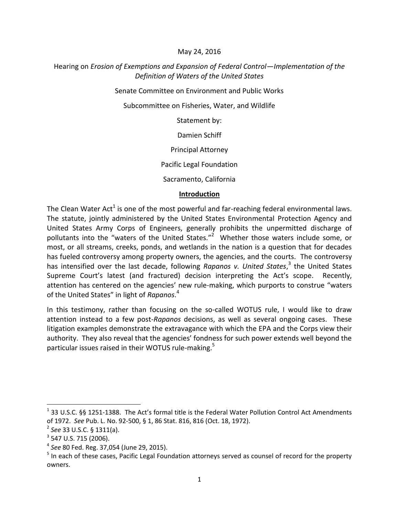### May 24, 2016

## Hearing on *Erosion of Exemptions and Expansion of Federal Control—Implementation of the Definition of Waters of the United States*

Senate Committee on Environment and Public Works

Subcommittee on Fisheries, Water, and Wildlife

Statement by:

Damien Schiff

Principal Attorney

Pacific Legal Foundation

Sacramento, California

### **Introduction**

The Clean Water Act<sup>1</sup> is one of the most powerful and far-reaching federal environmental laws. The statute, jointly administered by the United States Environmental Protection Agency and United States Army Corps of Engineers, generally prohibits the unpermitted discharge of pollutants into the "waters of the United States."<sup>2</sup> Whether those waters include some, or most, or all streams, creeks, ponds, and wetlands in the nation is a question that for decades has fueled controversy among property owners, the agencies, and the courts. The controversy has intensified over the last decade, following *Rapanos v. United States*, 3 the United States Supreme Court's latest (and fractured) decision interpreting the Act's scope. Recently, attention has centered on the agencies' new rule-making, which purports to construe "waters of the United States" in light of *Rapanos*. 4

In this testimony, rather than focusing on the so-called WOTUS rule, I would like to draw attention instead to a few post-*Rapanos* decisions, as well as several ongoing cases. These litigation examples demonstrate the extravagance with which the EPA and the Corps view their authority. They also reveal that the agencies' fondness for such power extends well beyond the particular issues raised in their WOTUS rule-making.<sup>5</sup>

 $1$  33 U.S.C. §§ 1251-1388. The Act's formal title is the Federal Water Pollution Control Act Amendments of 1972. *See* Pub. L. No. 92-500, § 1, 86 Stat. 816, 816 (Oct. 18, 1972).

<sup>2</sup> *See* 33 U.S.C. § 1311(a).

 $3$  547 U.S. 715 (2006).

<sup>4</sup> *See* 80 Fed. Reg. 37,054 (June 29, 2015).

<sup>&</sup>lt;sup>5</sup> In each of these cases, Pacific Legal Foundation attorneys served as counsel of record for the property owners.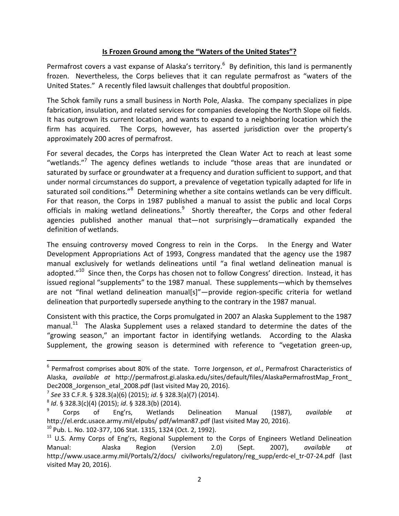## **Is Frozen Ground among the "Waters of the United States"?**

Permafrost covers a vast expanse of Alaska's territory.<sup>6</sup> By definition, this land is permanently frozen. Nevertheless, the Corps believes that it can regulate permafrost as "waters of the United States." A recently filed lawsuit challenges that doubtful proposition.

The Schok family runs a small business in North Pole, Alaska. The company specializes in pipe fabrication, insulation, and related services for companies developing the North Slope oil fields. It has outgrown its current location, and wants to expand to a neighboring location which the firm has acquired. The Corps, however, has asserted jurisdiction over the property's approximately 200 acres of permafrost.

For several decades, the Corps has interpreted the Clean Water Act to reach at least some "wetlands."<sup>7</sup> The agency defines wetlands to include "those areas that are inundated or saturated by surface or groundwater at a frequency and duration sufficient to support, and that under normal circumstances do support, a prevalence of vegetation typically adapted for life in saturated soil conditions."<sup>8</sup> Determining whether a site contains wetlands can be very difficult. For that reason, the Corps in 1987 published a manual to assist the public and local Corps officials in making wetland delineations.<sup>9</sup> Shortly thereafter, the Corps and other federal agencies published another manual that—not surprisingly—dramatically expanded the definition of wetlands.

The ensuing controversy moved Congress to rein in the Corps. In the Energy and Water Development Appropriations Act of 1993, Congress mandated that the agency use the 1987 manual exclusively for wetlands delineations until "a final wetland delineation manual is adopted."<sup>10</sup> Since then, the Corps has chosen not to follow Congress' direction. Instead, it has issued regional "supplements" to the 1987 manual. These supplements—which by themselves are not "final wetland delineation manual[s]"—provide region-specific criteria for wetland delineation that purportedly supersede anything to the contrary in the 1987 manual.

Consistent with this practice, the Corps promulgated in 2007 an Alaska Supplement to the 1987 manual.<sup>11</sup> The Alaska Supplement uses a relaxed standard to determine the dates of the "growing season," an important factor in identifying wetlands. According to the Alaska Supplement, the growing season is determined with reference to "vegetation green-up,

<sup>6</sup> Permafrost comprises about 80% of the state. Torre Jorgenson, *et al*., Permafrost Characteristics of Alaska, *available at* http://permafrost.gi.alaska.edu/sites/default/files/AlaskaPermafrostMap\_Front\_ Dec2008\_Jorgenson\_etal\_2008.pdf (last visited May 20, 2016).

<sup>7</sup> *See* 33 C.F.R. § 328.3(a)(6) (2015); *id*. § 328.3(a)(7) (2014).

<sup>8</sup> *Id*. § 328.3(c)(4) (2015); *id*. § 328.3(b) (2014).

<sup>9</sup> Corps of Eng'rs, Wetlands Delineation Manual (1987), *available at* http://el.erdc.usace.army.mil/elpubs/ pdf/wlman87.pdf (last visited May 20, 2016).

 $10$  Pub. L. No. 102-377, 106 Stat. 1315, 1324 (Oct. 2, 1992).

<sup>&</sup>lt;sup>11</sup> U.S. Army Corps of Eng'rs, Regional Supplement to the Corps of Engineers Wetland Delineation Manual: Alaska Region (Version 2.0) (Sept. 2007), *available at* http://www.usace.army.mil/Portals/2/docs/ civilworks/regulatory/reg\_supp/erdc-el\_tr-07-24.pdf (last visited May 20, 2016).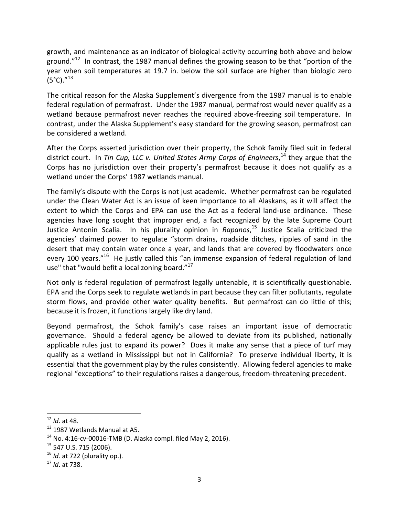growth, and maintenance as an indicator of biological activity occurring both above and below ground."<sup>12</sup> In contrast, the 1987 manual defines the growing season to be that "portion of the year when soil temperatures at 19.7 in. below the soil surface are higher than biologic zero  $(5^{\circ}C)^{1/13}$ 

The critical reason for the Alaska Supplement's divergence from the 1987 manual is to enable federal regulation of permafrost. Under the 1987 manual, permafrost would never qualify as a wetland because permafrost never reaches the required above-freezing soil temperature. In contrast, under the Alaska Supplement's easy standard for the growing season, permafrost can be considered a wetland.

After the Corps asserted jurisdiction over their property, the Schok family filed suit in federal district court. In *Tin Cup, LLC v. United States Army Corps of Engineers*, <sup>14</sup> they argue that the Corps has no jurisdiction over their property's permafrost because it does not qualify as a wetland under the Corps' 1987 wetlands manual.

The family's dispute with the Corps is not just academic. Whether permafrost can be regulated under the Clean Water Act is an issue of keen importance to all Alaskans, as it will affect the extent to which the Corps and EPA can use the Act as a federal land-use ordinance. These agencies have long sought that improper end, a fact recognized by the late Supreme Court Justice Antonin Scalia. In his plurality opinion in *Rapanos*, <sup>15</sup> Justice Scalia criticized the agencies' claimed power to regulate "storm drains, roadside ditches, ripples of sand in the desert that may contain water once a year, and lands that are covered by floodwaters once every 100 years."<sup>16</sup> He justly called this "an immense expansion of federal regulation of land use" that "would befit a local zoning board."<sup>17</sup>

Not only is federal regulation of permafrost legally untenable, it is scientifically questionable. EPA and the Corps seek to regulate wetlands in part because they can filter pollutants, regulate storm flows, and provide other water quality benefits. But permafrost can do little of this; because it is frozen, it functions largely like dry land.

Beyond permafrost, the Schok family's case raises an important issue of democratic governance. Should a federal agency be allowed to deviate from its published, nationally applicable rules just to expand its power? Does it make any sense that a piece of turf may qualify as a wetland in Mississippi but not in California? To preserve individual liberty, it is essential that the government play by the rules consistently. Allowing federal agencies to make regional "exceptions" to their regulations raises a dangerous, freedom-threatening precedent.

<sup>12</sup> *Id*. at 48.

<sup>&</sup>lt;sup>13</sup> 1987 Wetlands Manual at A5.

 $14$  No. 4:16-cv-00016-TMB (D. Alaska compl. filed May 2, 2016).

<sup>&</sup>lt;sup>15</sup> 547 U.S. 715 (2006).

<sup>16</sup> *Id*. at 722 (plurality op.).

<sup>17</sup> *Id*. at 738.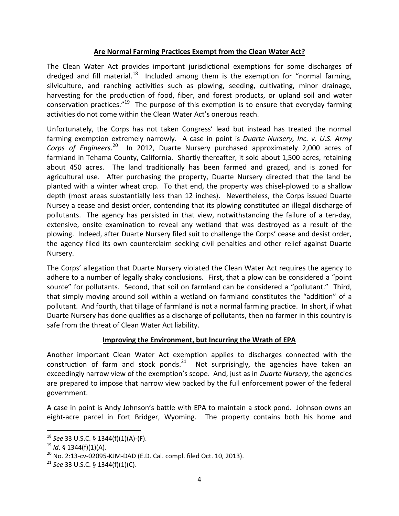## **Are Normal Farming Practices Exempt from the Clean Water Act?**

The Clean Water Act provides important jurisdictional exemptions for some discharges of dredged and fill material.<sup>18</sup> Included among them is the exemption for "normal farming, silviculture, and ranching activities such as plowing, seeding, cultivating, minor drainage, harvesting for the production of food, fiber, and forest products, or upland soil and water conservation practices."<sup>19</sup> The purpose of this exemption is to ensure that everyday farming activities do not come within the Clean Water Act's onerous reach.

Unfortunately, the Corps has not taken Congress' lead but instead has treated the normal farming exemption extremely narrowly. A case in point is *Duarte Nursery, Inc. v. U.S. Army*  Corps of Engineers.<sup>20</sup> In 2012, Duarte Nursery purchased approximately 2,000 acres of farmland in Tehama County, California. Shortly thereafter, it sold about 1,500 acres, retaining about 450 acres. The land traditionally has been farmed and grazed, and is zoned for agricultural use. After purchasing the property, Duarte Nursery directed that the land be planted with a winter wheat crop. To that end, the property was chisel-plowed to a shallow depth (most areas substantially less than 12 inches). Nevertheless, the Corps issued Duarte Nursey a cease and desist order, contending that its plowing constituted an illegal discharge of pollutants. The agency has persisted in that view, notwithstanding the failure of a ten-day, extensive, onsite examination to reveal any wetland that was destroyed as a result of the plowing. Indeed, after Duarte Nursery filed suit to challenge the Corps' cease and desist order, the agency filed its own counterclaim seeking civil penalties and other relief against Duarte Nursery.

The Corps' allegation that Duarte Nursery violated the Clean Water Act requires the agency to adhere to a number of legally shaky conclusions. First, that a plow can be considered a "point source" for pollutants. Second, that soil on farmland can be considered a "pollutant." Third, that simply moving around soil within a wetland on farmland constitutes the "addition" of a pollutant. And fourth, that tillage of farmland is not a normal farming practice. In short, if what Duarte Nursery has done qualifies as a discharge of pollutants, then no farmer in this country is safe from the threat of Clean Water Act liability.

# **Improving the Environment, but Incurring the Wrath of EPA**

Another important Clean Water Act exemption applies to discharges connected with the construction of farm and stock ponds. $^{21}$  Not surprisingly, the agencies have taken an exceedingly narrow view of the exemption's scope. And, just as in *Duarte Nursery*, the agencies are prepared to impose that narrow view backed by the full enforcement power of the federal government.

A case in point is Andy Johnson's battle with EPA to maintain a stock pond. Johnson owns an eight-acre parcel in Fort Bridger, Wyoming. The property contains both his home and

<sup>18</sup> *See* 33 U.S.C. § 1344(f)(1)(A)-(F).

<sup>19</sup> *Id*. § 1344(f)(1)(A).

 $20$  No. 2:13-cv-02095-KJM-DAD (E.D. Cal. compl. filed Oct. 10, 2013).

<sup>21</sup> *See* 33 U.S.C. § 1344(f)(1)(C).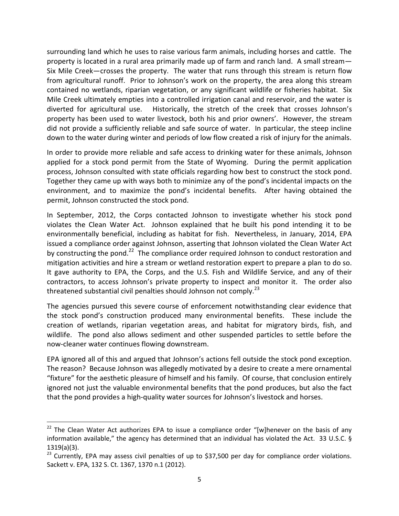surrounding land which he uses to raise various farm animals, including horses and cattle. The property is located in a rural area primarily made up of farm and ranch land. A small stream— Six Mile Creek—crosses the property. The water that runs through this stream is return flow from agricultural runoff. Prior to Johnson's work on the property, the area along this stream contained no wetlands, riparian vegetation, or any significant wildlife or fisheries habitat. Six Mile Creek ultimately empties into a controlled irrigation canal and reservoir, and the water is diverted for agricultural use. Historically, the stretch of the creek that crosses Johnson's property has been used to water livestock, both his and prior owners'. However, the stream did not provide a sufficiently reliable and safe source of water. In particular, the steep incline down to the water during winter and periods of low flow created a risk of injury for the animals.

In order to provide more reliable and safe access to drinking water for these animals, Johnson applied for a stock pond permit from the State of Wyoming. During the permit application process, Johnson consulted with state officials regarding how best to construct the stock pond. Together they came up with ways both to minimize any of the pond's incidental impacts on the environment, and to maximize the pond's incidental benefits. After having obtained the permit, Johnson constructed the stock pond.

In September, 2012, the Corps contacted Johnson to investigate whether his stock pond violates the Clean Water Act. Johnson explained that he built his pond intending it to be environmentally beneficial, including as habitat for fish. Nevertheless, in January, 2014, EPA issued a compliance order against Johnson, asserting that Johnson violated the Clean Water Act by constructing the pond.<sup>22</sup> The compliance order required Johnson to conduct restoration and mitigation activities and hire a stream or wetland restoration expert to prepare a plan to do so. It gave authority to EPA, the Corps, and the U.S. Fish and Wildlife Service, and any of their contractors, to access Johnson's private property to inspect and monitor it. The order also threatened substantial civil penalties should Johnson not comply.<sup>23</sup>

The agencies pursued this severe course of enforcement notwithstanding clear evidence that the stock pond's construction produced many environmental benefits. These include the creation of wetlands, riparian vegetation areas, and habitat for migratory birds, fish, and wildlife. The pond also allows sediment and other suspended particles to settle before the now-cleaner water continues flowing downstream.

EPA ignored all of this and argued that Johnson's actions fell outside the stock pond exception. The reason? Because Johnson was allegedly motivated by a desire to create a mere ornamental "fixture" for the aesthetic pleasure of himself and his family. Of course, that conclusion entirely ignored not just the valuable environmental benefits that the pond produces, but also the fact that the pond provides a high-quality water sources for Johnson's livestock and horses.

 $22$  The Clean Water Act authorizes EPA to issue a compliance order "[w]henever on the basis of any information available," the agency has determined that an individual has violated the Act. 33 U.S.C. § 1319(a)(3).

<sup>&</sup>lt;sup>23</sup> Currently, EPA may assess civil penalties of up to \$37,500 per day for compliance order violations. Sackett v. EPA, 132 S. Ct. 1367, 1370 n.1 (2012).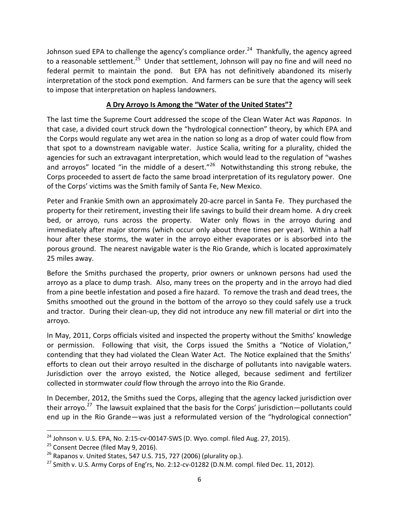Johnson sued EPA to challenge the agency's compliance order.<sup>24</sup> Thankfully, the agency agreed to a reasonable settlement.<sup>25</sup> Under that settlement, Johnson will pay no fine and will need no federal permit to maintain the pond. But EPA has not definitively abandoned its miserly interpretation of the stock pond exemption. And farmers can be sure that the agency will seek to impose that interpretation on hapless landowners.

# **A Dry Arroyo Is Among the "Water of the United States"?**

The last time the Supreme Court addressed the scope of the Clean Water Act was *Rapanos*. In that case, a divided court struck down the "hydrological connection" theory, by which EPA and the Corps would regulate any wet area in the nation so long as a drop of water could flow from that spot to a downstream navigable water. Justice Scalia, writing for a plurality, chided the agencies for such an extravagant interpretation, which would lead to the regulation of "washes and arroyos" located "in the middle of a desert."<sup>26</sup> Notwithstanding this strong rebuke, the Corps proceeded to assert de facto the same broad interpretation of its regulatory power. One of the Corps' victims was the Smith family of Santa Fe, New Mexico.

Peter and Frankie Smith own an approximately 20-acre parcel in Santa Fe. They purchased the property for their retirement, investing their life savings to build their dream home. A dry creek bed, or arroyo, runs across the property. Water only flows in the arroyo during and immediately after major storms (which occur only about three times per year). Within a half hour after these storms, the water in the arroyo either evaporates or is absorbed into the porous ground. The nearest navigable water is the Rio Grande, which is located approximately 25 miles away.

Before the Smiths purchased the property, prior owners or unknown persons had used the arroyo as a place to dump trash. Also, many trees on the property and in the arroyo had died from a pine beetle infestation and posed a fire hazard. To remove the trash and dead trees, the Smiths smoothed out the ground in the bottom of the arroyo so they could safely use a truck and tractor. During their clean-up, they did not introduce any new fill material or dirt into the arroyo.

In May, 2011, Corps officials visited and inspected the property without the Smiths' knowledge or permission. Following that visit, the Corps issued the Smiths a "Notice of Violation," contending that they had violated the Clean Water Act. The Notice explained that the Smiths' efforts to clean out their arroyo resulted in the discharge of pollutants into navigable waters. Jurisdiction over the arroyo existed, the Notice alleged, because sediment and fertilizer collected in stormwater *could* flow through the arroyo into the Rio Grande.

In December, 2012, the Smiths sued the Corps, alleging that the agency lacked jurisdiction over their arroyo.<sup>27</sup> The lawsuit explained that the basis for the Corps' jurisdiction—pollutants could end up in the Rio Grande—was just a reformulated version of the "hydrological connection"

 $24$  Johnson v. U.S. EPA, No. 2:15-cv-00147-SWS (D. Wyo. compl. filed Aug. 27, 2015).

<sup>&</sup>lt;sup>25</sup> Consent Decree (filed May 9, 2016).

 $26$  Rapanos v. United States, 547 U.S. 715, 727 (2006) (plurality op.).

<sup>&</sup>lt;sup>27</sup> Smith v. U.S. Army Corps of Eng'rs, No. 2:12-cv-01282 (D.N.M. compl. filed Dec. 11, 2012).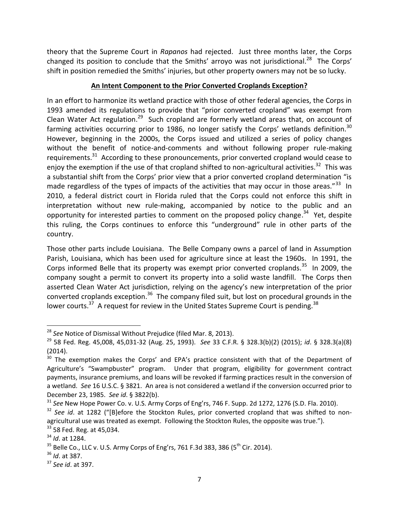theory that the Supreme Court in *Rapanos* had rejected. Just three months later, the Corps changed its position to conclude that the Smiths' arroyo was not jurisdictional.<sup>28</sup> The Corps' shift in position remedied the Smiths' injuries, but other property owners may not be so lucky.

## **An Intent Component to the Prior Converted Croplands Exception?**

In an effort to harmonize its wetland practice with those of other federal agencies, the Corps in 1993 amended its regulations to provide that "prior converted cropland" was exempt from Clean Water Act regulation.<sup>29</sup> Such cropland are formerly wetland areas that, on account of farming activities occurring prior to 1986, no longer satisfy the Corps' wetlands definition.<sup>30</sup> However, beginning in the 2000s, the Corps issued and utilized a series of policy changes without the benefit of notice-and-comments and without following proper rule-making requirements.<sup>31</sup> According to these pronouncements, prior converted cropland would cease to enjoy the exemption if the use of that cropland shifted to non-agricultural activities.<sup>32</sup> This was a substantial shift from the Corps' prior view that a prior converted cropland determination "is made regardless of the types of impacts of the activities that may occur in those areas."<sup>33</sup> In 2010, a federal district court in Florida ruled that the Corps could not enforce this shift in interpretation without new rule-making, accompanied by notice to the public and an opportunity for interested parties to comment on the proposed policy change.<sup>34</sup> Yet, despite this ruling, the Corps continues to enforce this "underground" rule in other parts of the country.

Those other parts include Louisiana. The Belle Company owns a parcel of land in Assumption Parish, Louisiana, which has been used for agriculture since at least the 1960s. In 1991, the Corps informed Belle that its property was exempt prior converted croplands.<sup>35</sup> In 2009, the company sought a permit to convert its property into a solid waste landfill. The Corps then asserted Clean Water Act jurisdiction, relying on the agency's new interpretation of the prior converted croplands exception.<sup>36</sup> The company filed suit, but lost on procedural grounds in the lower courts.<sup>37</sup> A request for review in the United States Supreme Court is pending.<sup>38</sup>

<sup>28</sup> *See* Notice of Dismissal Without Prejudice (filed Mar. 8, 2013).

<sup>29</sup> 58 Fed. Reg. 45,008, 45,031-32 (Aug. 25, 1993). *See* 33 C.F.R. § 328.3(b)(2) (2015); *id*. § 328.3(a)(8) (2014).

 $30$  The exemption makes the Corps' and EPA's practice consistent with that of the Department of Agriculture's "Swampbuster" program. Under that program, eligibility for government contract payments, insurance premiums, and loans will be revoked if farming practices result in the conversion of a wetland. *See* 16 U.S.C. § 3821. An area is not considered a wetland if the conversion occurred prior to December 23, 1985. *See id*. § 3822(b).

<sup>31</sup> *See* New Hope Power Co. v. U.S. Army Corps of Eng'rs, 746 F. Supp. 2d 1272, 1276 (S.D. Fla. 2010).

<sup>&</sup>lt;sup>32</sup> See id. at 1282 ("[B]efore the Stockton Rules, prior converted cropland that was shifted to nonagricultural use was treated as exempt. Following the Stockton Rules, the opposite was true."). <sup>33</sup> 58 Fed. Reg. at 45,034.

<sup>34</sup> *Id*. at 1284.

 $35$  Belle Co., LLC v. U.S. Army Corps of Eng'rs, 761 F.3d 383, 386 (5<sup>th</sup> Cir. 2014).

<sup>36</sup> *Id*. at 387.

<sup>37</sup> *See id*. at 397.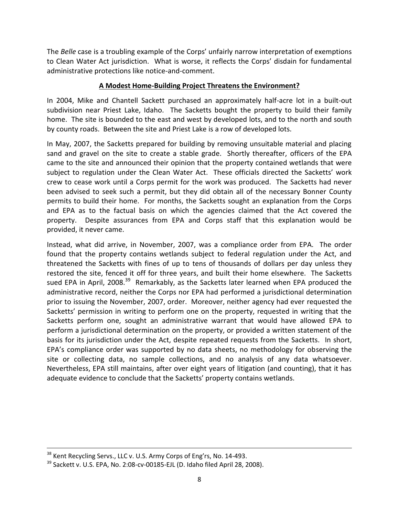The *Belle* case is a troubling example of the Corps' unfairly narrow interpretation of exemptions to Clean Water Act jurisdiction. What is worse, it reflects the Corps' disdain for fundamental administrative protections like notice-and-comment.

## **A Modest Home-Building Project Threatens the Environment?**

In 2004, Mike and Chantell Sackett purchased an approximately half-acre lot in a built-out subdivision near Priest Lake, Idaho. The Sacketts bought the property to build their family home. The site is bounded to the east and west by developed lots, and to the north and south by county roads. Between the site and Priest Lake is a row of developed lots.

In May, 2007, the Sacketts prepared for building by removing unsuitable material and placing sand and gravel on the site to create a stable grade. Shortly thereafter, officers of the EPA came to the site and announced their opinion that the property contained wetlands that were subject to regulation under the Clean Water Act. These officials directed the Sacketts' work crew to cease work until a Corps permit for the work was produced. The Sacketts had never been advised to seek such a permit, but they did obtain all of the necessary Bonner County permits to build their home. For months, the Sacketts sought an explanation from the Corps and EPA as to the factual basis on which the agencies claimed that the Act covered the property. Despite assurances from EPA and Corps staff that this explanation would be provided, it never came.

Instead, what did arrive, in November, 2007, was a compliance order from EPA. The order found that the property contains wetlands subject to federal regulation under the Act, and threatened the Sacketts with fines of up to tens of thousands of dollars per day unless they restored the site, fenced it off for three years, and built their home elsewhere. The Sacketts sued EPA in April, 2008.<sup>39</sup> Remarkably, as the Sacketts later learned when EPA produced the administrative record, neither the Corps nor EPA had performed a jurisdictional determination prior to issuing the November, 2007, order. Moreover, neither agency had ever requested the Sacketts' permission in writing to perform one on the property, requested in writing that the Sacketts perform one, sought an administrative warrant that would have allowed EPA to perform a jurisdictional determination on the property, or provided a written statement of the basis for its jurisdiction under the Act, despite repeated requests from the Sacketts. In short, EPA's compliance order was supported by no data sheets, no methodology for observing the site or collecting data, no sample collections, and no analysis of any data whatsoever. Nevertheless, EPA still maintains, after over eight years of litigation (and counting), that it has adequate evidence to conclude that the Sacketts' property contains wetlands.

 $^{38}$  Kent Recycling Servs., LLC v. U.S. Army Corps of Eng'rs, No. 14-493.

 $39$  Sackett v. U.S. EPA, No. 2:08-cv-00185-EJL (D. Idaho filed April 28, 2008).